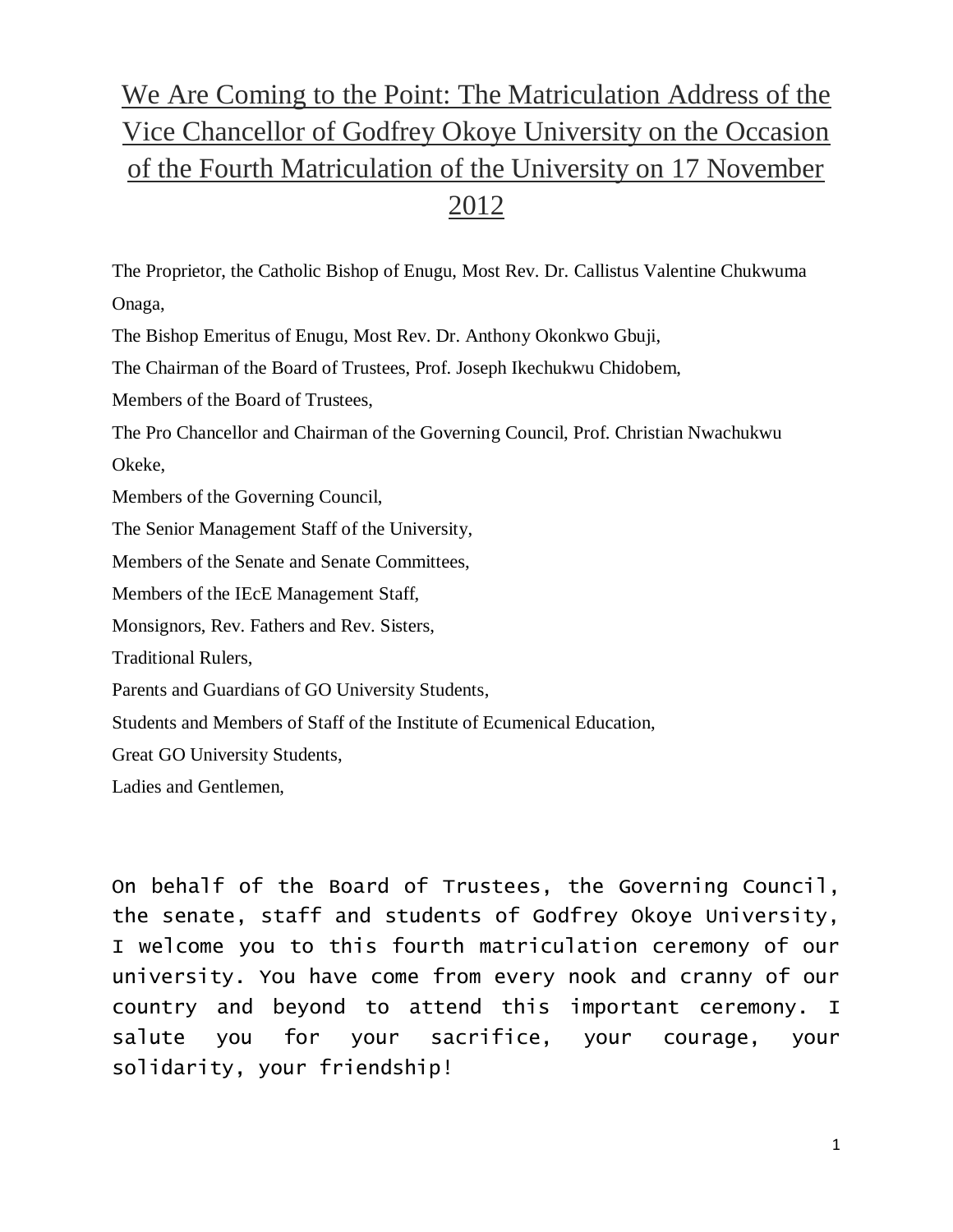## We Are Coming to the Point: The Matriculation Address of the Vice Chancellor of Godfrey Okoye University on the Occasion of the Fourth Matriculation of the University on 17 November 2012

The Proprietor, the Catholic Bishop of Enugu, Most Rev. Dr. Callistus Valentine Chukwuma Onaga,

The Bishop Emeritus of Enugu, Most Rev. Dr. Anthony Okonkwo Gbuji,

The Chairman of the Board of Trustees, Prof. Joseph Ikechukwu Chidobem,

Members of the Board of Trustees,

The Pro Chancellor and Chairman of the Governing Council, Prof. Christian Nwachukwu Okeke,

Members of the Governing Council,

The Senior Management Staff of the University,

Members of the Senate and Senate Committees,

Members of the IEcE Management Staff,

Monsignors, Rev. Fathers and Rev. Sisters,

Traditional Rulers,

Parents and Guardians of GO University Students,

Students and Members of Staff of the Institute of Ecumenical Education,

Great GO University Students,

Ladies and Gentlemen,

On behalf of the Board of Trustees, the Governing Council, the senate, staff and students of Godfrey Okoye University, I welcome you to this fourth matriculation ceremony of our university. You have come from every nook and cranny of our country and beyond to attend this important ceremony. I salute you for your sacrifice, your courage, your solidarity, your friendship!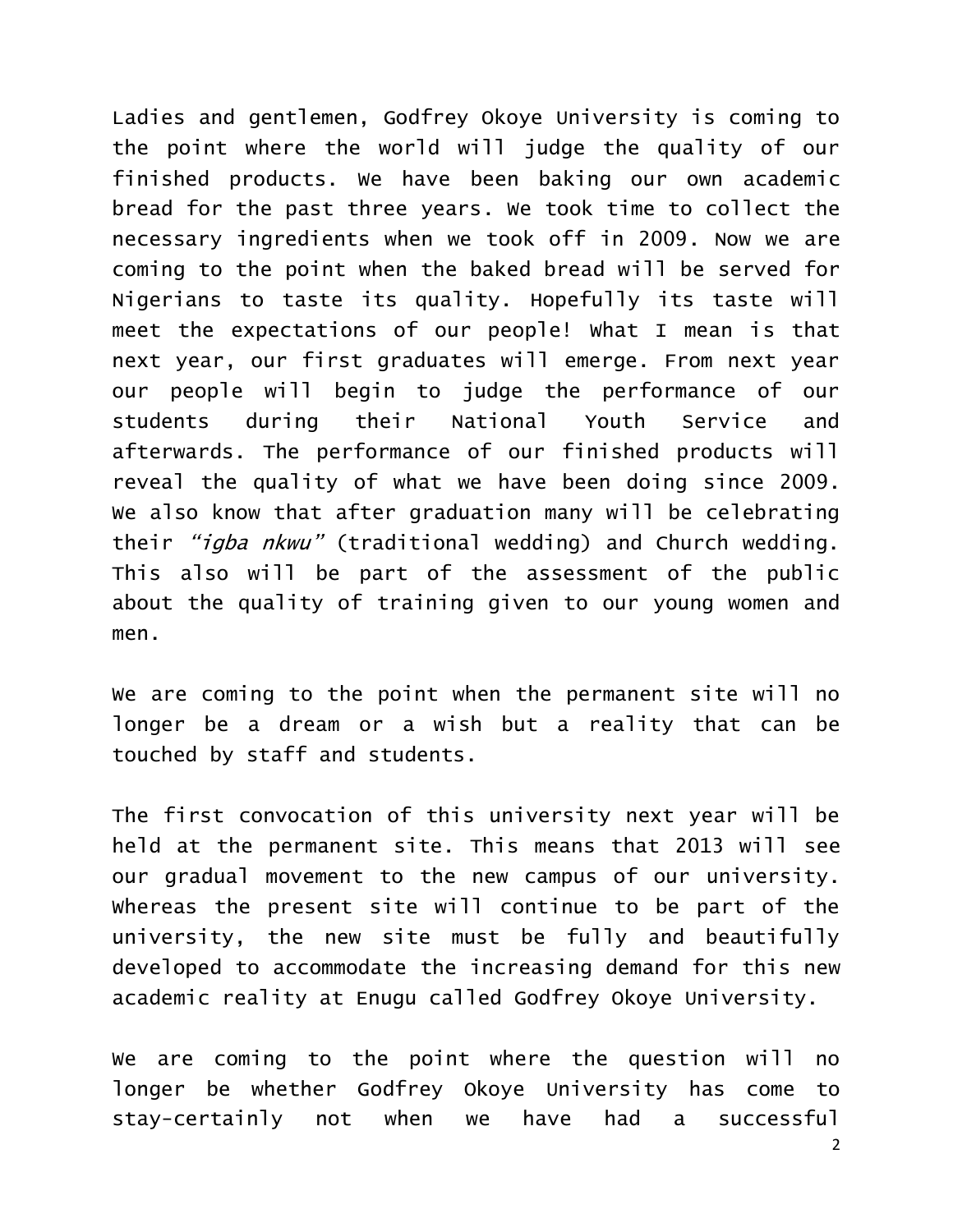Ladies and gentlemen, Godfrey Okoye University is coming to the point where the world will judge the quality of our finished products. We have been baking our own academic bread for the past three years. We took time to collect the necessary ingredients when we took off in 2009. Now we are coming to the point when the baked bread will be served for Nigerians to taste its quality. Hopefully its taste will meet the expectations of our people! What I mean is that next year, our first graduates will emerge. From next year our people will begin to judge the performance of our students during their National Youth Service and afterwards. The performance of our finished products will reveal the quality of what we have been doing since 2009. We also know that after graduation many will be celebrating their "igba nkwu" (traditional wedding) and Church wedding. This also will be part of the assessment of the public about the quality of training given to our young women and men.

We are coming to the point when the permanent site will no longer be a dream or a wish but a reality that can be touched by staff and students.

The first convocation of this university next year will be held at the permanent site. This means that 2013 will see our gradual movement to the new campus of our university. Whereas the present site will continue to be part of the university, the new site must be fully and beautifully developed to accommodate the increasing demand for this new academic reality at Enugu called Godfrey Okoye University.

We are coming to the point where the question will no longer be whether Godfrey Okoye University has come to stay-certainly not when we have had a successful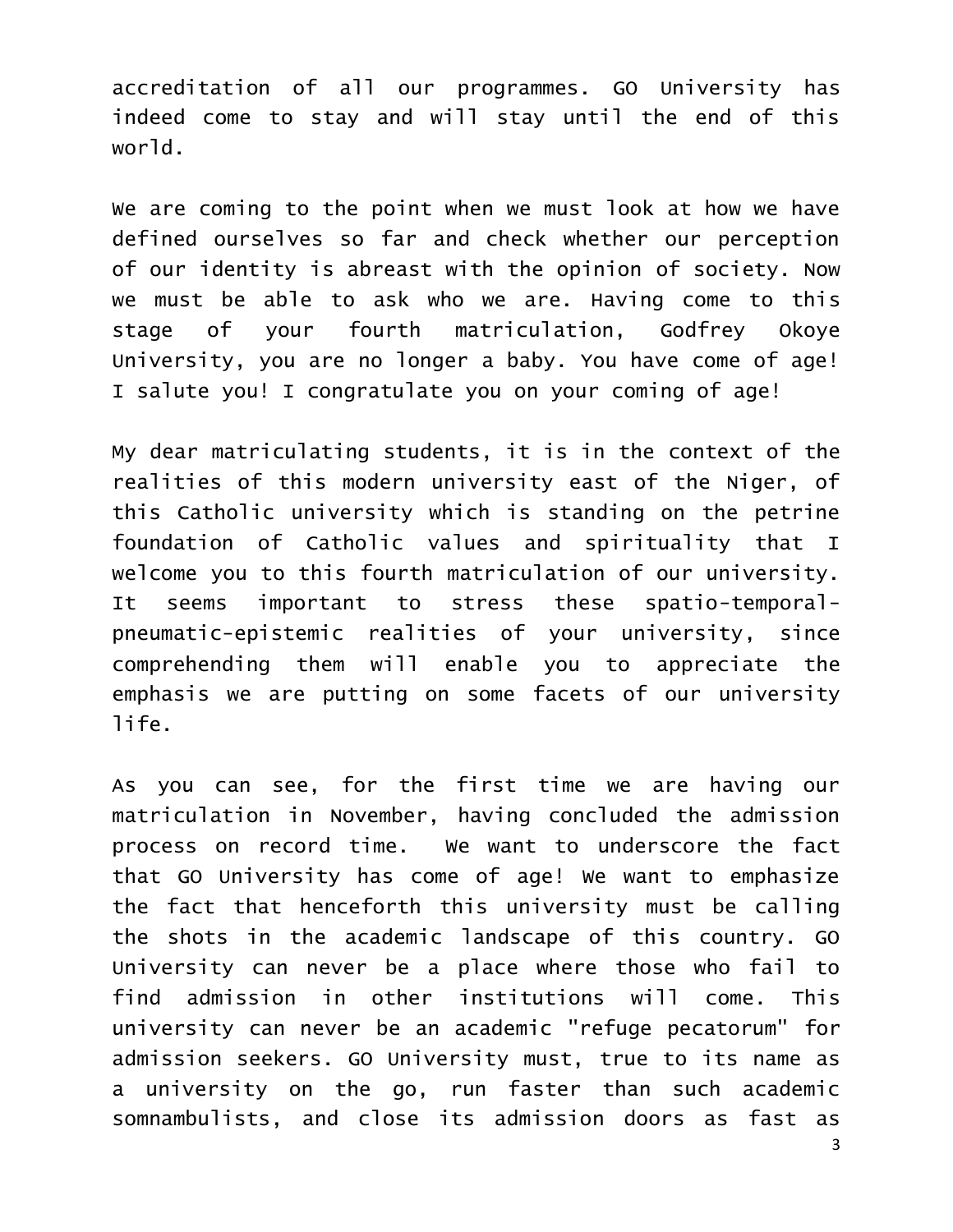accreditation of all our programmes. GO University has indeed come to stay and will stay until the end of this world.

We are coming to the point when we must look at how we have defined ourselves so far and check whether our perception of our identity is abreast with the opinion of society. Now we must be able to ask who we are. Having come to this stage of your fourth matriculation, Godfrey Okoye University, you are no longer a baby. You have come of age! I salute you! I congratulate you on your coming of age!

My dear matriculating students, it is in the context of the realities of this modern university east of the Niger, of this Catholic university which is standing on the petrine foundation of Catholic values and spirituality that I welcome you to this fourth matriculation of our university. It seems important to stress these spatio-temporalpneumatic-epistemic realities of your university, since comprehending them will enable you to appreciate the emphasis we are putting on some facets of our university life.

As you can see, for the first time we are having our matriculation in November, having concluded the admission process on record time. We want to underscore the fact that GO University has come of age! We want to emphasize the fact that henceforth this university must be calling the shots in the academic landscape of this country. GO University can never be a place where those who fail to find admission in other institutions will come. This university can never be an academic "refuge pecatorum" for admission seekers. GO University must, true to its name as a university on the go, run faster than such academic somnambulists, and close its admission doors as fast as

3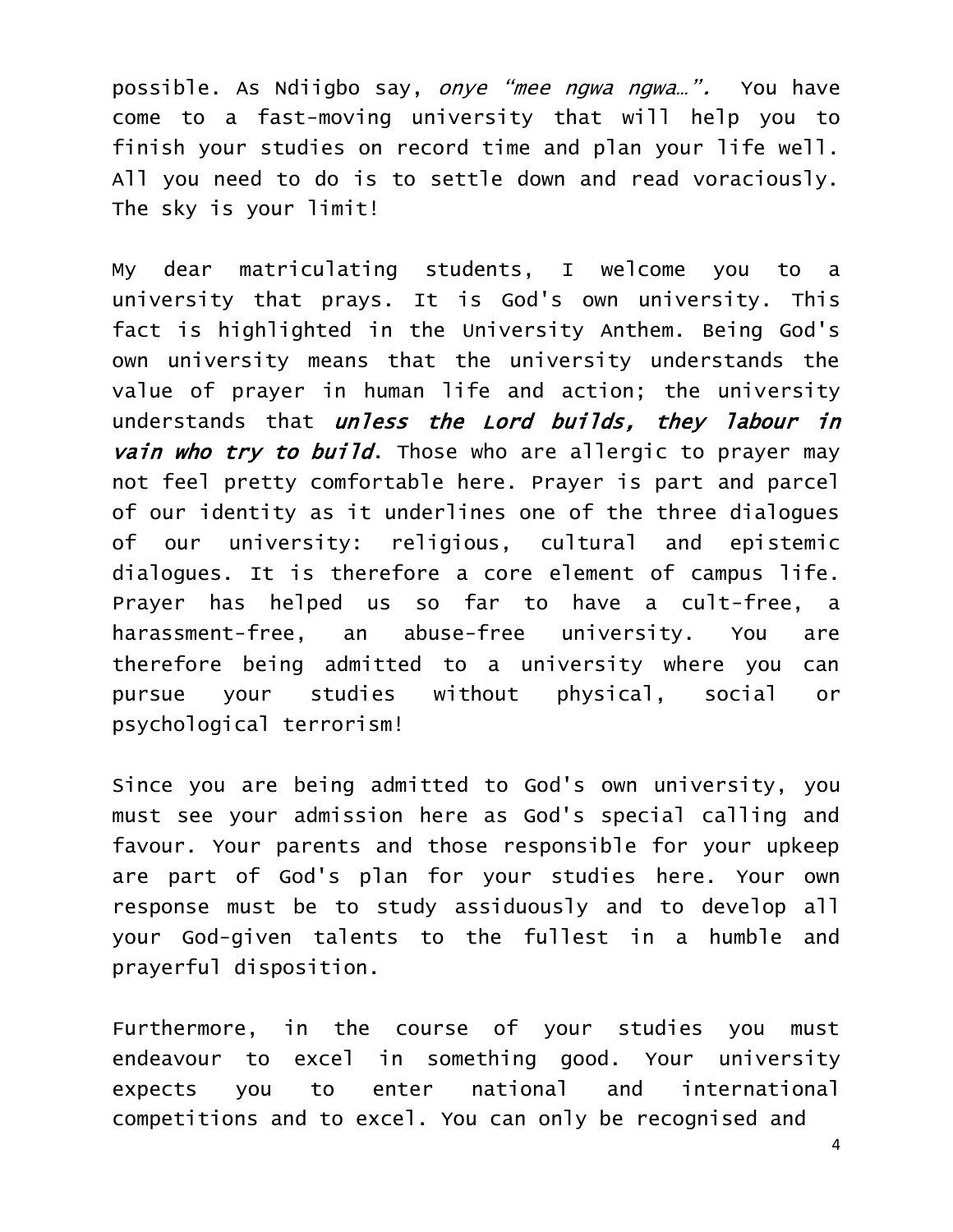possible. As Ndiigbo say, onye "mee ngwa ngwa...". You have come to a fast-moving university that will help you to finish your studies on record time and plan your life well. All you need to do is to settle down and read voraciously. The sky is your limit!

My dear matriculating students, I welcome you to a university that prays. It is God's own university. This fact is highlighted in the University Anthem. Being God's own university means that the university understands the value of prayer in human life and action; the university understands that *unless the Lord builds*, they labour in vain who try to build. Those who are allergic to prayer may not feel pretty comfortable here. Prayer is part and parcel of our identity as it underlines one of the three dialogues of our university: religious, cultural and epistemic dialogues. It is therefore a core element of campus life. Prayer has helped us so far to have a cult-free, a harassment-free, an abuse-free university. You are therefore being admitted to a university where you can pursue your studies without physical, social or psychological terrorism!

Since you are being admitted to God's own university, you must see your admission here as God's special calling and favour. Your parents and those responsible for your upkeep are part of God's plan for your studies here. Your own response must be to study assiduously and to develop all your God-given talents to the fullest in a humble and prayerful disposition.

Furthermore, in the course of your studies you must endeavour to excel in something good. Your university expects you to enter national and international competitions and to excel. You can only be recognised and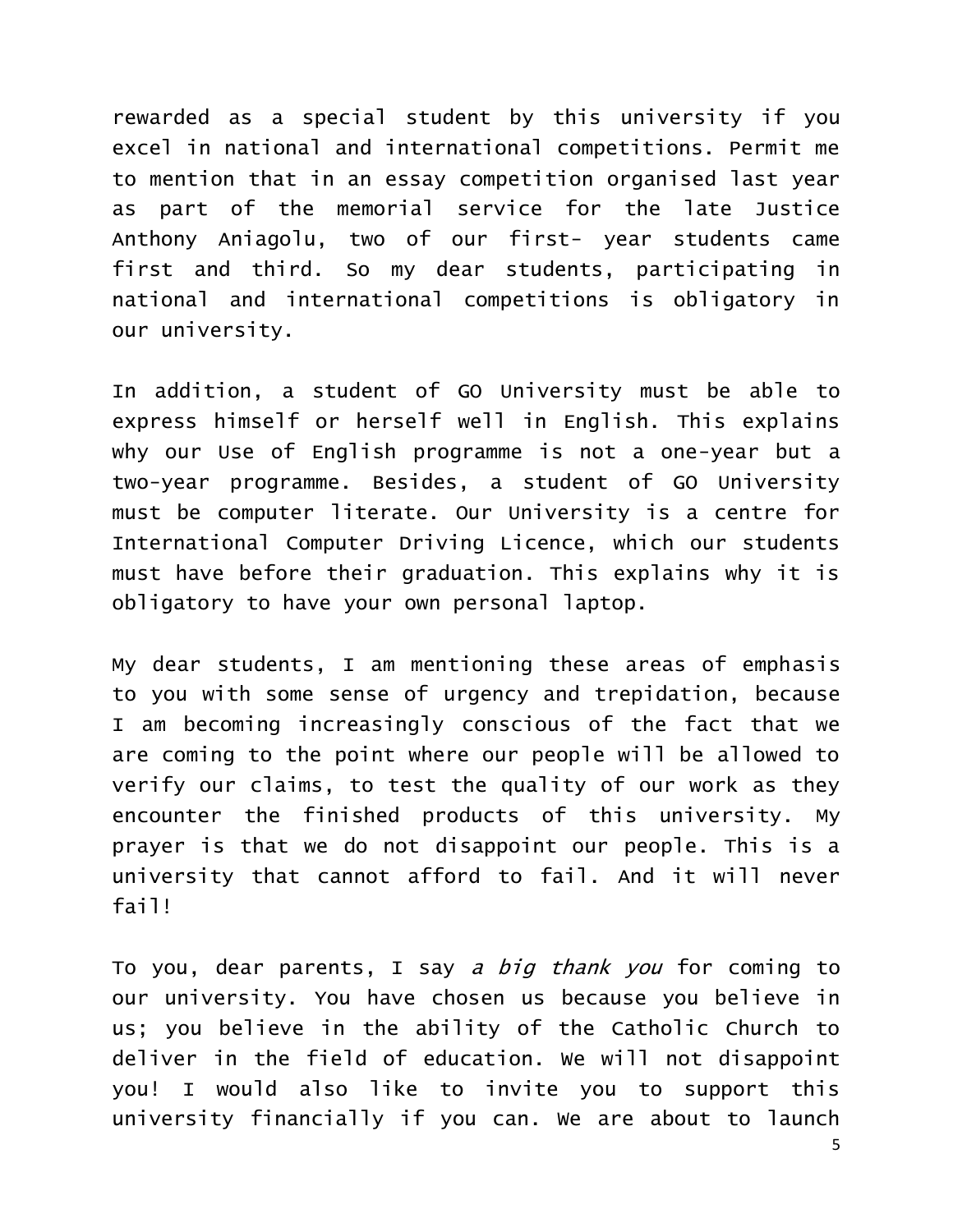rewarded as a special student by this university if you excel in national and international competitions. Permit me to mention that in an essay competition organised last year as part of the memorial service for the late Justice Anthony Aniagolu, two of our first- year students came first and third. So my dear students, participating in national and international competitions is obligatory in our university.

In addition, a student of GO University must be able to express himself or herself well in English. This explains why our Use of English programme is not a one-year but a two-year programme. Besides, a student of GO University must be computer literate. Our University is a centre for International Computer Driving Licence, which our students must have before their graduation. This explains why it is obligatory to have your own personal laptop.

My dear students, I am mentioning these areas of emphasis to you with some sense of urgency and trepidation, because I am becoming increasingly conscious of the fact that we are coming to the point where our people will be allowed to verify our claims, to test the quality of our work as they encounter the finished products of this university. My prayer is that we do not disappoint our people. This is a university that cannot afford to fail. And it will never fail!

To you, dear parents, I say a big thank you for coming to our university. You have chosen us because you believe in us; you believe in the ability of the Catholic Church to deliver in the field of education. We will not disappoint you! I would also like to invite you to support this university financially if you can. We are about to launch

5